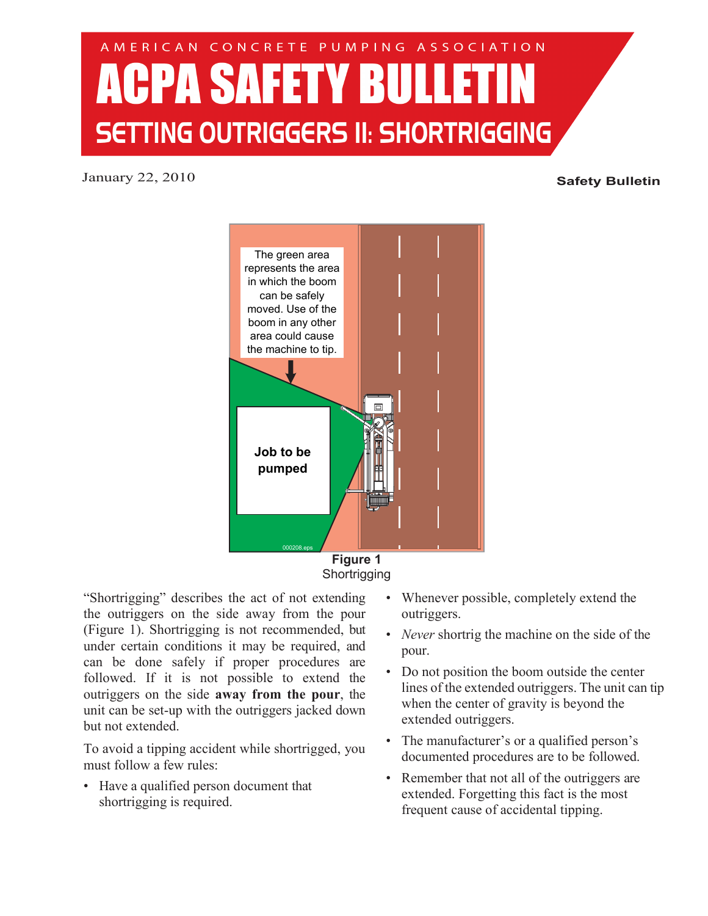# AMERICAN CONCRETE PUMPING ASSOCIATION **CPA SAFETY BULLETIN SETTING OUTRIGGERS II: SHORTRIGGING**

January 22, 2010 **Safety Bulletin**



**Shortrigging** 

"Shortrigging" describes the act of not extending the outriggers on the side away from the pour (Figure 1). Shortrigging is not recommended, but under certain conditions it may be required, and can be done safely if proper procedures are followed. If it is not possible to extend the outriggers on the side **away from the pour**, the unit can be set-up with the outriggers jacked down but not extended.

To avoid a tipping accident while shortrigged, you must follow a few rules:

• Have a qualified person document that shortrigging is required.

- Whenever possible, completely extend the outriggers.
- *Never* shortrig the machine on the side of the pour.
- Do not position the boom outside the center lines of the extended outriggers. The unit can tip when the center of gravity is beyond the extended outriggers.
- The manufacturer's or a qualified person's documented procedures are to be followed.
- Remember that not all of the outriggers are extended. Forgetting this fact is the most frequent cause of accidental tipping.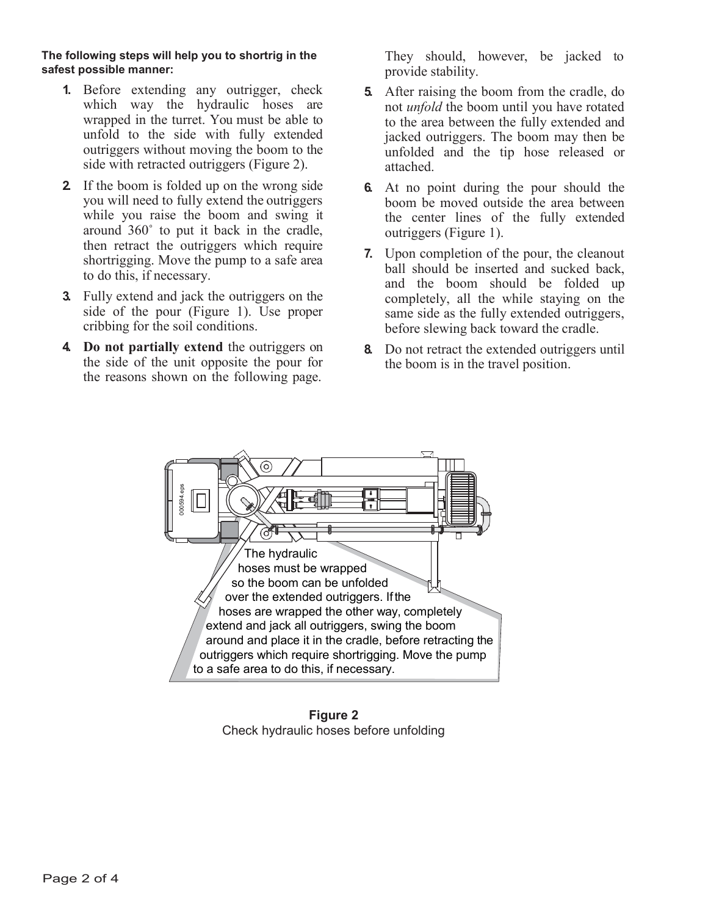#### **The following steps will help you to shortrig in the safest possible manner:**

- **1.** Before extending any outrigger, check which way the hydraulic hoses are wrapped in the turret. You must be able to unfold to the side with fully extended outriggers without moving the boom to the side with retracted outriggers (Figure 2).
- **2.** If the boom is folded up on the wrong side you will need to fully extend the outriggers while you raise the boom and swing it around 360˚ to put it back in the cradle, then retract the outriggers which require shortrigging. Move the pump to a safe area to do this, if necessary.
- **3.** Fully extend and jack the outriggers on the side of the pour (Figure 1). Use proper cribbing for the soil conditions.
- **4. Do not partially extend** the outriggers on the side of the unit opposite the pour for the reasons shown on the following page.

They should, however, be jacked to provide stability.

- **5.** After raising the boom from the cradle, do not *unfold* the boom until you have rotated to the area between the fully extended and jacked outriggers. The boom may then be unfolded and the tip hose released or attached.
- **6.** At no point during the pour should the boom be moved outside the area between the center lines of the fully extended outriggers (Figure 1).
- **7.** Upon completion of the pour, the cleanout ball should be inserted and sucked back, and the boom should be folded up completely, all the while staying on the same side as the fully extended outriggers, before slewing back toward the cradle.
- **8.** Do not retract the extended outriggers until the boom is in the travel position.



**Figure 2** Check hydraulic hoses before unfolding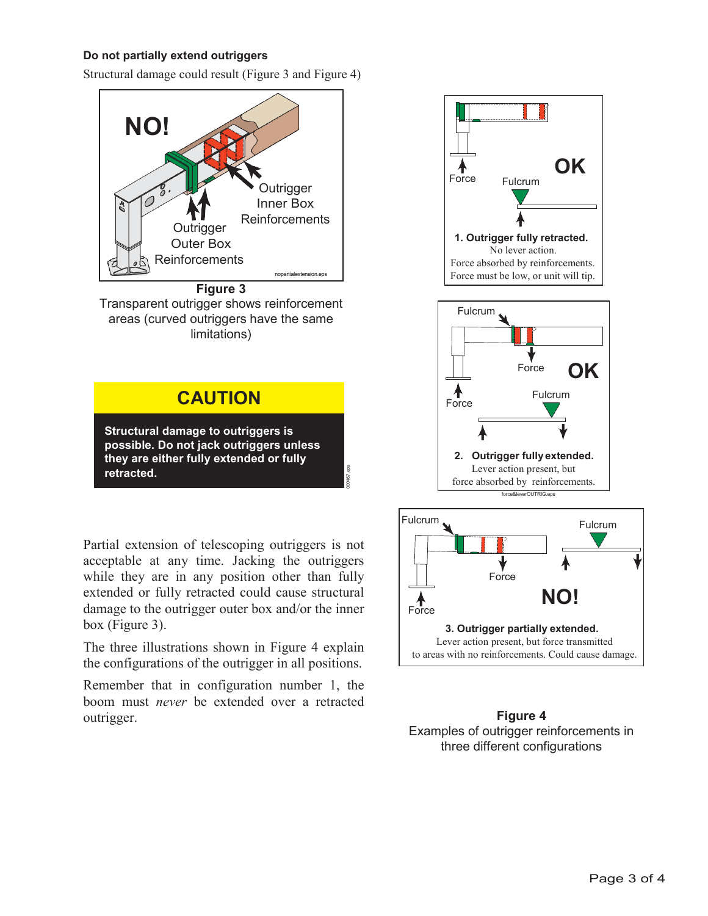## **Do not partially extend outriggers**

Structural damage could result (Figure 3 and Figure 4)



**Figure 3** Transparent outrigger shows reinforcement areas (curved outriggers have the same limitations)



Partial extension of telescoping outriggers is not acceptable at any time. Jacking the outriggers while they are in any position other than fully extended or fully retracted could cause structural damage to the outrigger outer box and/or the inner box (Figure 3).

The three illustrations shown in Figure 4 explain the configurations of the outrigger in all positions.

Remember that in configuration number 1, the boom must *never* be extended over a retracted outrigger. **Figure 4** 



Examples of outrigger reinforcements in three different configurations